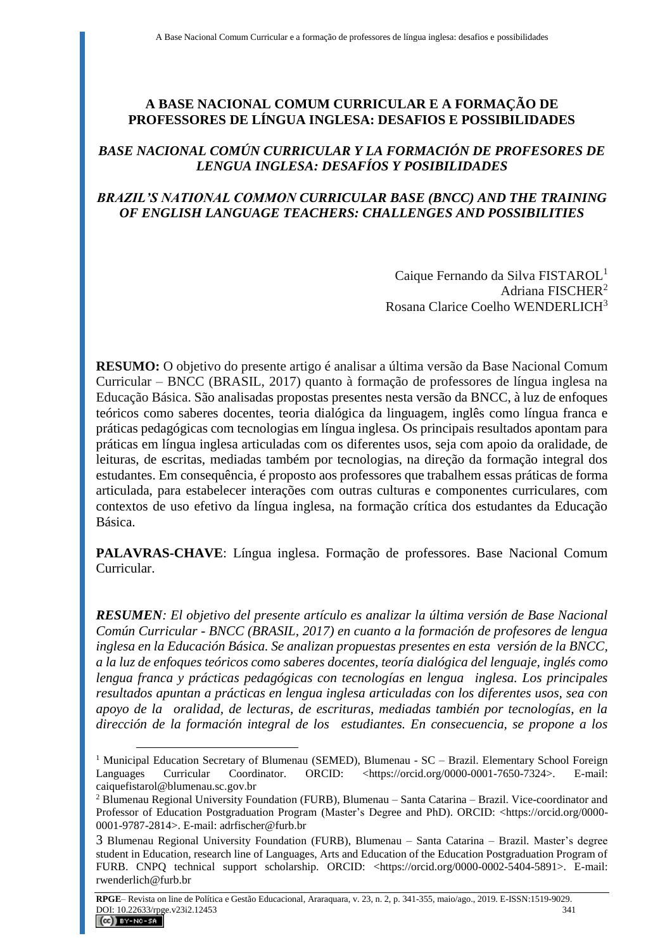### **A BASE NACIONAL COMUM CURRICULAR E A FORMAÇÃO DE PROFESSORES DE LÍNGUA INGLESA: DESAFIOS E POSSIBILIDADES**

### *BASE NACIONAL COMÚN CURRICULAR Y LA FORMACIÓN DE PROFESORES DE LENGUA INGLESA: DESAFÍOS Y POSIBILIDADES*

### *BRAZIL'S NATIONAL COMMON CURRICULAR BASE (BNCC) AND THE TRAINING OF ENGLISH LANGUAGE TEACHERS: CHALLENGES AND POSSIBILITIES*

Caique Fernando da Silva FISTAROL<sup>1</sup> Adriana FISCHER<sup>2</sup> Rosana Clarice Coelho WENDERLICH<sup>3</sup>

**RESUMO:** O objetivo do presente artigo é analisar a última versão da Base Nacional Comum Curricular – BNCC (BRASIL, 2017) quanto à formação de professores de língua inglesa na Educação Básica. São analisadas propostas presentes nesta versão da BNCC, à luz de enfoques teóricos como saberes docentes, teoria dialógica da linguagem, inglês como língua franca e práticas pedagógicas com tecnologias em língua inglesa. Os principais resultados apontam para práticas em língua inglesa articuladas com os diferentes usos, seja com apoio da oralidade, de leituras, de escritas, mediadas também por tecnologias, na direção da formação integral dos estudantes. Em consequência, é proposto aos professores que trabalhem essas práticas de forma articulada, para estabelecer interações com outras culturas e componentes curriculares, com contextos de uso efetivo da língua inglesa, na formação crítica dos estudantes da Educação Básica.

**PALAVRAS-CHAVE**: Língua inglesa. Formação de professores. Base Nacional Comum Curricular.

*RESUMEN: El objetivo del presente artículo es analizar la última versión de Base Nacional Común Curricular - BNCC (BRASIL, 2017) en cuanto a la formación de profesores de lengua inglesa en la Educación Básica. Se analizan propuestas presentes en esta versión de la BNCC, a la luz de enfoques teóricos como saberes docentes, teoría dialógica del lenguaje, inglés como lengua franca y prácticas pedagógicas con tecnologías en lengua inglesa. Los principales resultados apuntan a prácticas en lengua inglesa articuladas con los diferentes usos, sea con apoyo de la oralidad, de lecturas, de escrituras, mediadas también por tecnologías, en la dirección de la formación integral de los estudiantes. En consecuencia, se propone a los* 

<sup>&</sup>lt;sup>1</sup> Municipal Education Secretary of Blumenau (SEMED), Blumenau - SC – Brazil. Elementary School Foreign Languages Curricular Coordinator. ORCID: <https://orcid.org/0000-0001-7650-7324>. E-mail: Languages Curricular Coordinator. ORCID: <https://orcid.org/0000-0001-7650-7324>. E-mail: [caiquefistarol@blumenau.sc.gov.br](mailto:caiquefistarol@blumenau.sc.gov.br)

<sup>2</sup> Blumenau Regional University Foundation (FURB), Blumenau – Santa Catarina – Brazil. Vice-coordinator and Professor of Education Postgraduation Program (Master's Degree and PhD). ORCID: <https://orcid.org/0000-0001-9787-2814>. E-mail: [adrfischer@furb.br](mailto:adrfischer@furb.br)

<sup>3</sup> Blumenau Regional University Foundation (FURB), Blumenau – Santa Catarina – Brazil. Master's degree student in Education, research line of Languages, Arts and Education of the Education Postgraduation Program of FURB. CNPQ technical support scholarship. ORCID: <https://orcid.org/0000-0002-5404-5891>. [E-mail:](mailto:rosana.wenderlich@gmail.com)  [rwenderlich@furb.br](mailto:rosana.wenderlich@gmail.com)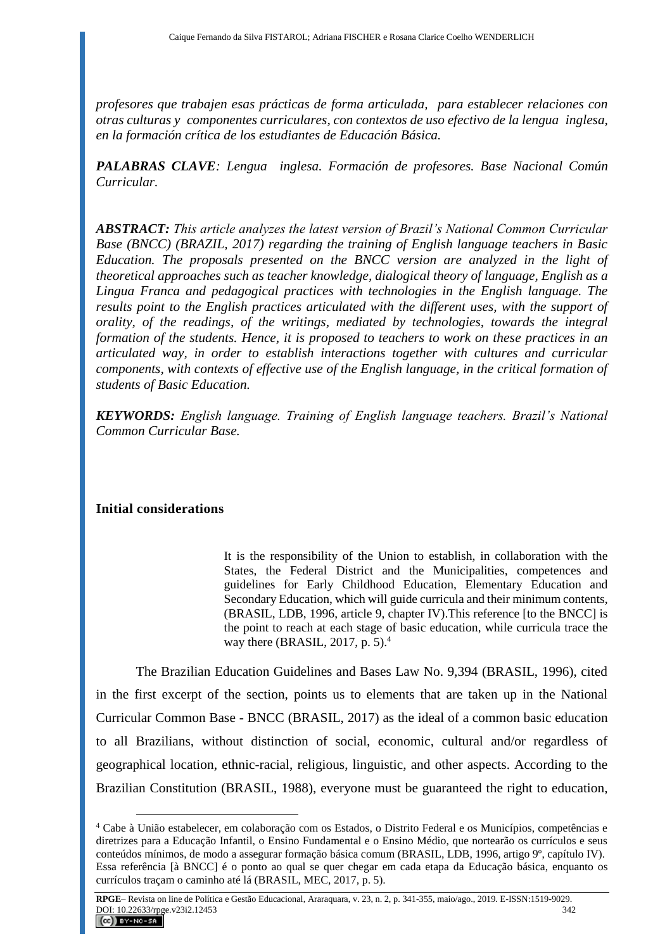*profesores que trabajen esas prácticas de forma articulada, para establecer relaciones con otras culturas y componentes curriculares, con contextos de uso efectivo de la lengua inglesa, en la formación crítica de los estudiantes de Educación Básica.*

*PALABRAS CLAVE: Lengua inglesa. Formación de profesores. Base Nacional Común Curricular.* 

*ABSTRACT: This article analyzes the latest version of Brazil's National Common Curricular Base (BNCC) (BRAZIL, 2017) regarding the training of English language teachers in Basic Education. The proposals presented on the BNCC version are analyzed in the light of theoretical approaches such as teacher knowledge, dialogical theory of language, English as a Lingua Franca and pedagogical practices with technologies in the English language. The results point to the English practices articulated with the different uses, with the support of orality, of the readings, of the writings, mediated by technologies, towards the integral formation of the students. Hence, it is proposed to teachers to work on these practices in an articulated way, in order to establish interactions together with cultures and curricular components, with contexts of effective use of the English language, in the critical formation of students of Basic Education.*

*KEYWORDS: English language. Training of English language teachers. Brazil's National Common Curricular Base.*

# **Initial considerations**

 $\overline{a}$ 

It is the responsibility of the Union to establish, in collaboration with the States, the Federal District and the Municipalities, competences and guidelines for Early Childhood Education, Elementary Education and Secondary Education, which will guide curricula and their minimum contents, (BRASIL, LDB, 1996, article 9, chapter IV).This reference [to the BNCC] is the point to reach at each stage of basic education, while curricula trace the way there (BRASIL, 2017, p. 5).<sup>4</sup>

The Brazilian Education Guidelines and Bases Law No. 9,394 (BRASIL, 1996), cited in the first excerpt of the section, points us to elements that are taken up in the National Curricular Common Base - BNCC (BRASIL, 2017) as the ideal of a common basic education to all Brazilians, without distinction of social, economic, cultural and/or regardless of geographical location, ethnic-racial, religious, linguistic, and other aspects. According to the Brazilian Constitution (BRASIL, 1988), everyone must be guaranteed the right to education,

<sup>4</sup> Cabe à União estabelecer, em colaboração com os Estados, o Distrito Federal e os Municípios, competências e diretrizes para a Educação Infantil, o Ensino Fundamental e o Ensino Médio, que nortearão os currículos e seus conteúdos mínimos, de modo a assegurar formação básica comum (BRASIL, LDB, 1996, artigo 9º, capítulo IV). Essa referência [à BNCC] é o ponto ao qual se quer chegar em cada etapa da Educação básica, enquanto os currículos traçam o caminho até lá (BRASIL, MEC, 2017, p. 5).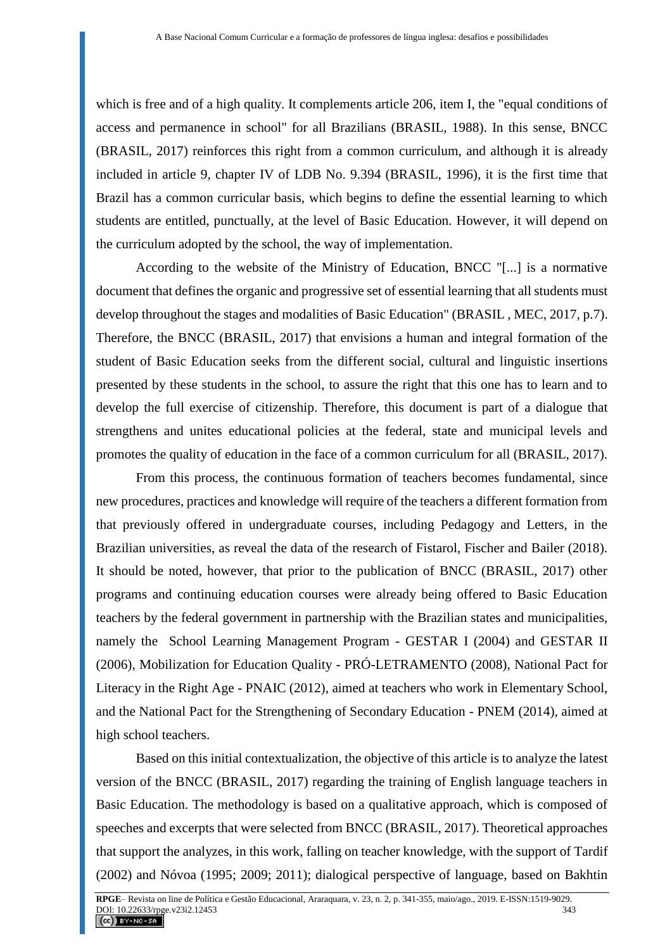which is free and of a high quality. It complements article 206, item I, the "equal conditions of access and permanence in school" for all Brazilians (BRASIL, 1988). In this sense, BNCC (BRASIL, 2017) reinforces this right from a common curriculum, and although it is already included in article 9, chapter IV of LDB No. 9.394 (BRASIL, 1996), it is the first time that Brazil has a common curricular basis, which begins to define the essential learning to which students are entitled, punctually, at the level of Basic Education. However, it will depend on the curriculum adopted by the school, the way of implementation.

According to the website of the Ministry of Education, BNCC "[...] is a normative document that defines the organic and progressive set of essential learning that all students must develop throughout the stages and modalities of Basic Education" (BRASIL , MEC, 2017, p.7). Therefore, the BNCC (BRASIL, 2017) that envisions a human and integral formation of the student of Basic Education seeks from the different social, cultural and linguistic insertions presented by these students in the school, to assure the right that this one has to learn and to develop the full exercise of citizenship. Therefore, this document is part of a dialogue that strengthens and unites educational policies at the federal, state and municipal levels and promotes the quality of education in the face of a common curriculum for all (BRASIL, 2017).

From this process, the continuous formation of teachers becomes fundamental, since new procedures, practices and knowledge will require of the teachers a different formation from that previously offered in undergraduate courses, including Pedagogy and Letters, in the Brazilian universities, as reveal the data of the research of Fistarol, Fischer and Bailer (2018). It should be noted, however, that prior to the publication of BNCC (BRASIL, 2017) other programs and continuing education courses were already being offered to Basic Education teachers by the federal government in partnership with the Brazilian states and municipalities, namely the School Learning Management Program - GESTAR I (2004) and GESTAR II (2006), Mobilization for Education Quality - PRÓ-LETRAMENTO (2008), National Pact for Literacy in the Right Age - PNAIC (2012), aimed at teachers who work in Elementary School, and the National Pact for the Strengthening of Secondary Education - PNEM (2014), aimed at high school teachers.

Based on this initial contextualization, the objective of this article is to analyze the latest version of the BNCC (BRASIL, 2017) regarding the training of English language teachers in Basic Education. The methodology is based on a qualitative approach, which is composed of speeches and excerpts that were selected from BNCC (BRASIL, 2017). Theoretical approaches that support the analyzes, in this work, falling on teacher knowledge, with the support of Tardif (2002) and Nóvoa (1995; 2009; 2011); dialogical perspective of language, based on Bakhtin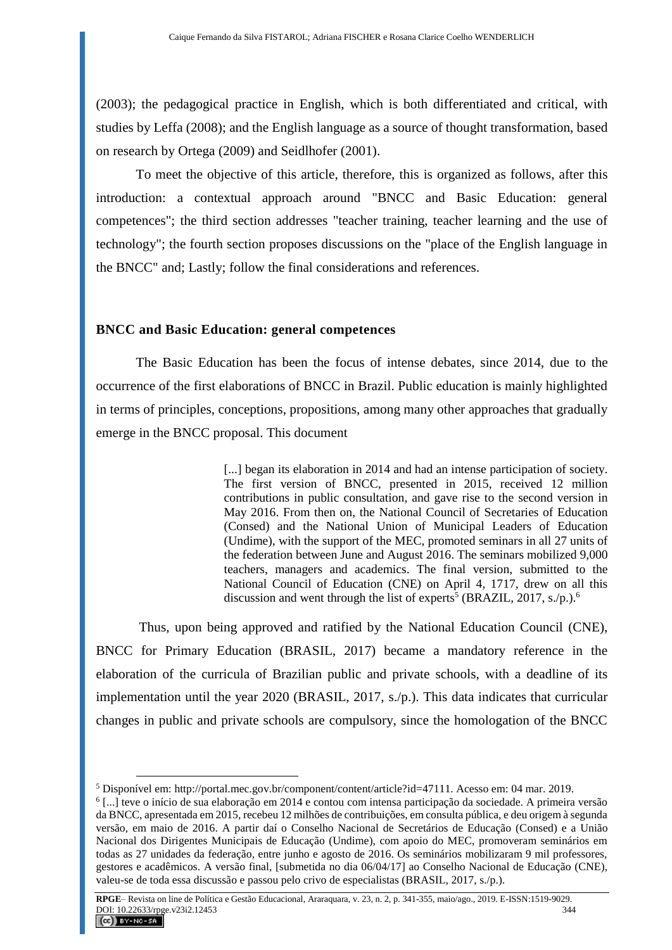(2003); the pedagogical practice in English, which is both differentiated and critical, with studies by Leffa (2008); and the English language as a source of thought transformation, based on research by Ortega (2009) and Seidlhofer (2001).

To meet the objective of this article, therefore, this is organized as follows, after this introduction: a contextual approach around "BNCC and Basic Education: general competences"; the third section addresses "teacher training, teacher learning and the use of technology"; the fourth section proposes discussions on the "place of the English language in the BNCC" and; Lastly; follow the final considerations and references.

### **BNCC and Basic Education: general competences**

 $\overline{a}$ 

The Basic Education has been the focus of intense debates, since 2014, due to the occurrence of the first elaborations of BNCC in Brazil. Public education is mainly highlighted in terms of principles, conceptions, propositions, among many other approaches that gradually emerge in the BNCC proposal. This document

> [...] began its elaboration in 2014 and had an intense participation of society. The first version of BNCC, presented in 2015, received 12 million contributions in public consultation, and gave rise to the second version in May 2016. From then on, the National Council of Secretaries of Education (Consed) and the National Union of Municipal Leaders of Education (Undime), with the support of the MEC, promoted seminars in all 27 units of the federation between June and August 2016. The seminars mobilized 9,000 teachers, managers and academics. The final version, submitted to the National Council of Education (CNE) on April 4, 1717, drew on all this discussion and went through the list of experts<sup>5</sup> (BRAZIL, 2017, s./p.).<sup>6</sup>

Thus, upon being approved and ratified by the National Education Council (CNE), BNCC for Primary Education (BRASIL, 2017) became a mandatory reference in the elaboration of the curricula of Brazilian public and private schools, with a deadline of its implementation until the year 2020 (BRASIL, 2017, s./p.). This data indicates that curricular changes in public and private schools are compulsory, since the homologation of the BNCC

**RPGE**– Revista on line de Política e Gestão Educacional, Araraquara, v. 23, n. 2, p. 341-355, maio/ago., 2019. E-ISSN:1519-9029. DOI: 10.22633/rpge.v23i2.12453 344  $(C)$  BY-NC-SA

<sup>5</sup> Disponível em: http://portal.mec.gov.br/component/content/article?id=47111. Acesso em: 04 mar. 2019.

<sup>6</sup> [...] teve o início de sua elaboração em 2014 e contou com intensa participação da sociedade. A primeira versão da BNCC, apresentada em 2015, recebeu 12 milhões de contribuições, em consulta pública, e deu origem à segunda versão, em maio de 2016. A partir daí o Conselho Nacional de Secretários de Educação (Consed) e a União Nacional dos Dirigentes Municipais de Educação (Undime), com apoio do MEC, promoveram seminários em todas as 27 unidades da federação, entre junho e agosto de 2016. Os seminários mobilizaram 9 mil professores, gestores e acadêmicos. A versão final, [submetida no dia 06/04/17] ao Conselho Nacional de Educação (CNE), valeu-se de toda essa discussão e passou pelo crivo de especialistas (BRASIL, 2017, s./p.).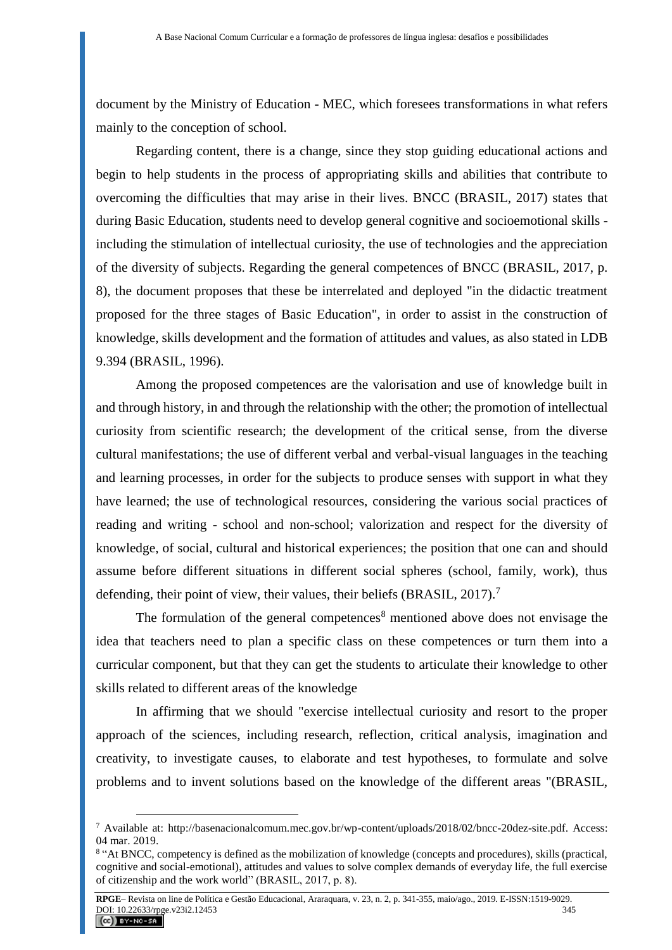document by the Ministry of Education - MEC, which foresees transformations in what refers mainly to the conception of school.

Regarding content, there is a change, since they stop guiding educational actions and begin to help students in the process of appropriating skills and abilities that contribute to overcoming the difficulties that may arise in their lives. BNCC (BRASIL, 2017) states that during Basic Education, students need to develop general cognitive and socioemotional skills including the stimulation of intellectual curiosity, the use of technologies and the appreciation of the diversity of subjects. Regarding the general competences of BNCC (BRASIL, 2017, p. 8), the document proposes that these be interrelated and deployed "in the didactic treatment proposed for the three stages of Basic Education", in order to assist in the construction of knowledge, skills development and the formation of attitudes and values, as also stated in LDB 9.394 (BRASIL, 1996).

Among the proposed competences are the valorisation and use of knowledge built in and through history, in and through the relationship with the other; the promotion of intellectual curiosity from scientific research; the development of the critical sense, from the diverse cultural manifestations; the use of different verbal and verbal-visual languages in the teaching and learning processes, in order for the subjects to produce senses with support in what they have learned; the use of technological resources, considering the various social practices of reading and writing - school and non-school; valorization and respect for the diversity of knowledge, of social, cultural and historical experiences; the position that one can and should assume before different situations in different social spheres (school, family, work), thus defending, their point of view, their values, their beliefs (BRASIL, 2017).<sup>7</sup>

The formulation of the general competences<sup>8</sup> mentioned above does not envisage the idea that teachers need to plan a specific class on these competences or turn them into a curricular component, but that they can get the students to articulate their knowledge to other skills related to different areas of the knowledge

In affirming that we should "exercise intellectual curiosity and resort to the proper approach of the sciences, including research, reflection, critical analysis, imagination and creativity, to investigate causes, to elaborate and test hypotheses, to formulate and solve problems and to invent solutions based on the knowledge of the different areas "(BRASIL,

<sup>7</sup> Available at: [http://basenacionalcomum.mec.gov.br/wp-content/uploads/2018/02/bncc-20dez-site.pdf.](http://basenacionalcomum.mec.gov.br/wp-content/uploads/2018/02/bncc-20dez-site.pdf) Access: 04 mar. 2019.

<sup>&</sup>lt;sup>8</sup> "At BNCC, competency is defined as the mobilization of knowledge (concepts and procedures), skills (practical, cognitive and social-emotional), attitudes and values to solve complex demands of everyday life, the full exercise of citizenship and the work world" (BRASIL, 2017, p. 8).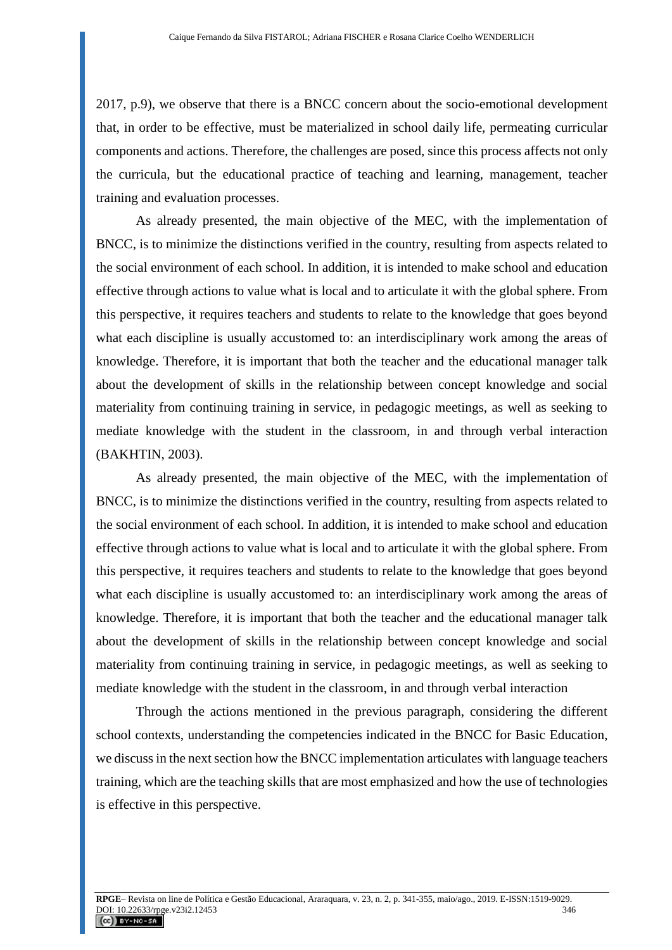2017, p.9), we observe that there is a BNCC concern about the socio-emotional development that, in order to be effective, must be materialized in school daily life, permeating curricular components and actions. Therefore, the challenges are posed, since this process affects not only the curricula, but the educational practice of teaching and learning, management, teacher training and evaluation processes.

As already presented, the main objective of the MEC, with the implementation of BNCC, is to minimize the distinctions verified in the country, resulting from aspects related to the social environment of each school. In addition, it is intended to make school and education effective through actions to value what is local and to articulate it with the global sphere. From this perspective, it requires teachers and students to relate to the knowledge that goes beyond what each discipline is usually accustomed to: an interdisciplinary work among the areas of knowledge. Therefore, it is important that both the teacher and the educational manager talk about the development of skills in the relationship between concept knowledge and social materiality from continuing training in service, in pedagogic meetings, as well as seeking to mediate knowledge with the student in the classroom, in and through verbal interaction (BAKHTIN, 2003).

As already presented, the main objective of the MEC, with the implementation of BNCC, is to minimize the distinctions verified in the country, resulting from aspects related to the social environment of each school. In addition, it is intended to make school and education effective through actions to value what is local and to articulate it with the global sphere. From this perspective, it requires teachers and students to relate to the knowledge that goes beyond what each discipline is usually accustomed to: an interdisciplinary work among the areas of knowledge. Therefore, it is important that both the teacher and the educational manager talk about the development of skills in the relationship between concept knowledge and social materiality from continuing training in service, in pedagogic meetings, as well as seeking to mediate knowledge with the student in the classroom, in and through verbal interaction

Through the actions mentioned in the previous paragraph, considering the different school contexts, understanding the competencies indicated in the BNCC for Basic Education, we discuss in the next section how the BNCC implementation articulates with language teachers training, which are the teaching skills that are most emphasized and how the use of technologies is effective in this perspective.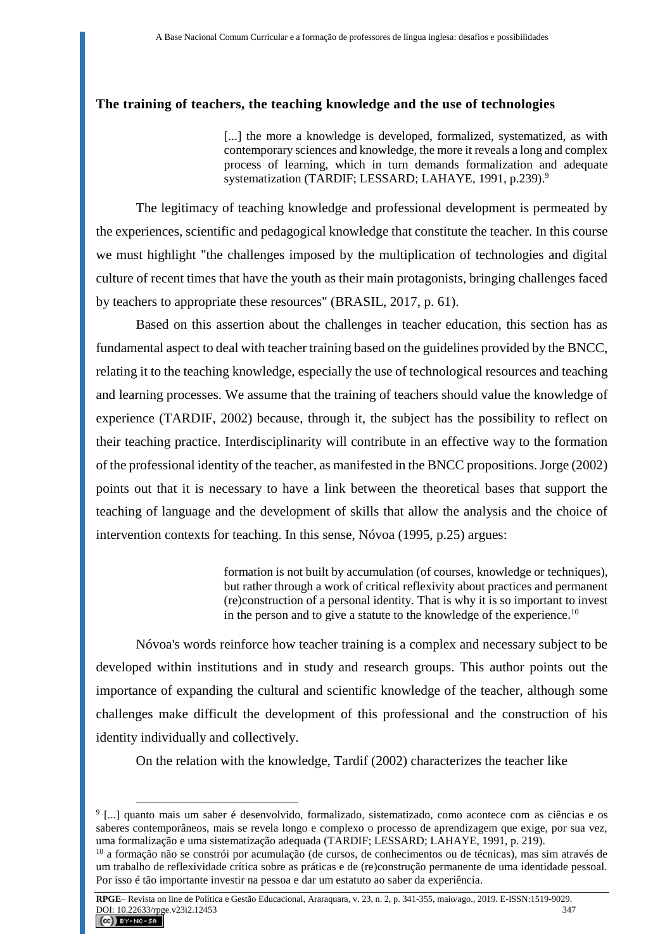#### **The training of teachers, the teaching knowledge and the use of technologies**

[...] the more a knowledge is developed, formalized, systematized, as with contemporary sciences and knowledge, the more it reveals a long and complex process of learning, which in turn demands formalization and adequate systematization (TARDIF; LESSARD; LAHAYE, 1991, p.239).<sup>9</sup>

The legitimacy of teaching knowledge and professional development is permeated by the experiences, scientific and pedagogical knowledge that constitute the teacher. In this course we must highlight "the challenges imposed by the multiplication of technologies and digital culture of recent times that have the youth as their main protagonists, bringing challenges faced by teachers to appropriate these resources" (BRASIL, 2017, p. 61).

Based on this assertion about the challenges in teacher education, this section has as fundamental aspect to deal with teacher training based on the guidelines provided by the BNCC, relating it to the teaching knowledge, especially the use of technological resources and teaching and learning processes. We assume that the training of teachers should value the knowledge of experience (TARDIF, 2002) because, through it, the subject has the possibility to reflect on their teaching practice. Interdisciplinarity will contribute in an effective way to the formation of the professional identity of the teacher, as manifested in the BNCC propositions. Jorge (2002) points out that it is necessary to have a link between the theoretical bases that support the teaching of language and the development of skills that allow the analysis and the choice of intervention contexts for teaching. In this sense, Nóvoa (1995, p.25) argues:

> formation is not built by accumulation (of courses, knowledge or techniques), but rather through a work of critical reflexivity about practices and permanent (re)construction of a personal identity. That is why it is so important to invest in the person and to give a statute to the knowledge of the experience.<sup>10</sup>

Nóvoa's words reinforce how teacher training is a complex and necessary subject to be developed within institutions and in study and research groups. This author points out the importance of expanding the cultural and scientific knowledge of the teacher, although some challenges make difficult the development of this professional and the construction of his identity individually and collectively.

On the relation with the knowledge, Tardif (2002) characterizes the teacher like

<sup>9</sup> [...] quanto mais um saber é desenvolvido, formalizado, sistematizado, como acontece com as ciências e os saberes contemporâneos, mais se revela longo e complexo o processo de aprendizagem que exige, por sua vez, uma formalização e uma sistematização adequada (TARDIF; LESSARD; LAHAYE, 1991, p. 219).

<sup>10</sup> a formação não se constrói por acumulação (de cursos, de conhecimentos ou de técnicas), mas sim através de um trabalho de reflexividade crítica sobre as práticas e de (re)construção permanente de uma identidade pessoal. Por isso é tão importante investir na pessoa e dar um estatuto ao saber da experiência.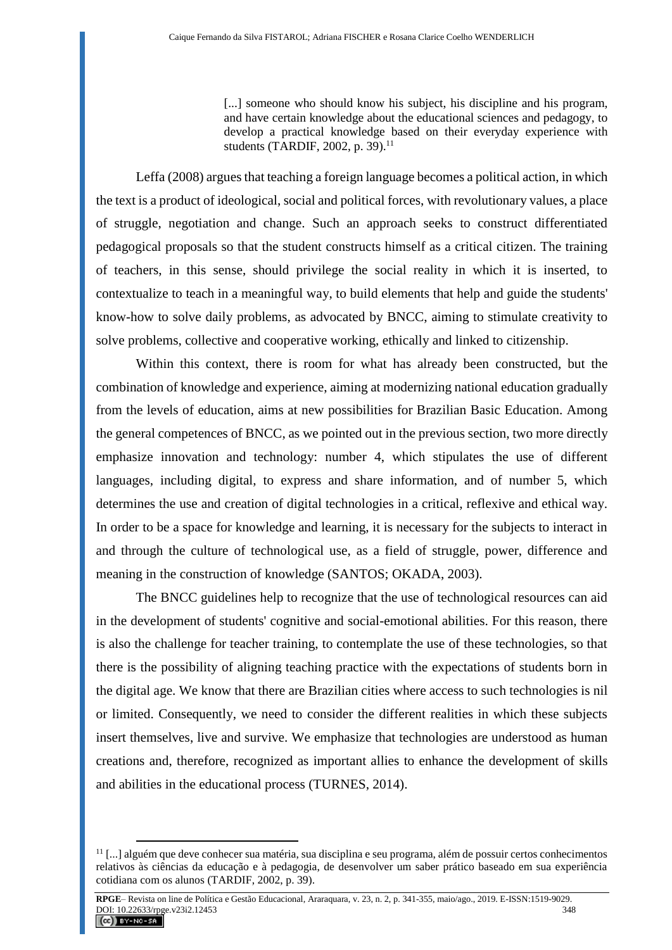[...] someone who should know his subject, his discipline and his program, and have certain knowledge about the educational sciences and pedagogy, to develop a practical knowledge based on their everyday experience with students (TARDIF, 2002, p. 39).<sup>11</sup>

Leffa (2008) argues that teaching a foreign language becomes a political action, in which the text is a product of ideological, social and political forces, with revolutionary values, a place of struggle, negotiation and change. Such an approach seeks to construct differentiated pedagogical proposals so that the student constructs himself as a critical citizen. The training of teachers, in this sense, should privilege the social reality in which it is inserted, to contextualize to teach in a meaningful way, to build elements that help and guide the students' know-how to solve daily problems, as advocated by BNCC, aiming to stimulate creativity to solve problems, collective and cooperative working, ethically and linked to citizenship.

Within this context, there is room for what has already been constructed, but the combination of knowledge and experience, aiming at modernizing national education gradually from the levels of education, aims at new possibilities for Brazilian Basic Education. Among the general competences of BNCC, as we pointed out in the previous section, two more directly emphasize innovation and technology: number 4, which stipulates the use of different languages, including digital, to express and share information, and of number 5, which determines the use and creation of digital technologies in a critical, reflexive and ethical way. In order to be a space for knowledge and learning, it is necessary for the subjects to interact in and through the culture of technological use, as a field of struggle, power, difference and meaning in the construction of knowledge (SANTOS; OKADA, 2003).

The BNCC guidelines help to recognize that the use of technological resources can aid in the development of students' cognitive and social-emotional abilities. For this reason, there is also the challenge for teacher training, to contemplate the use of these technologies, so that there is the possibility of aligning teaching practice with the expectations of students born in the digital age. We know that there are Brazilian cities where access to such technologies is nil or limited. Consequently, we need to consider the different realities in which these subjects insert themselves, live and survive. We emphasize that technologies are understood as human creations and, therefore, recognized as important allies to enhance the development of skills and abilities in the educational process (TURNES, 2014).

<sup>11</sup> [...] alguém que deve conhecer sua matéria, sua disciplina e seu programa, além de possuir certos conhecimentos relativos às ciências da educação e à pedagogia, de desenvolver um saber prático baseado em sua experiência cotidiana com os alunos (TARDIF, 2002, p. 39).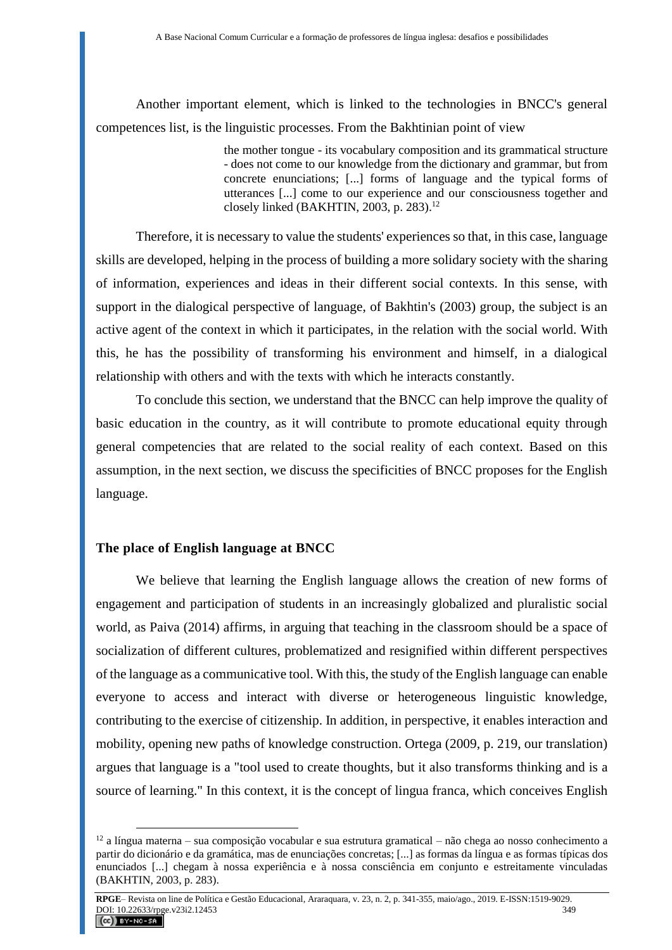Another important element, which is linked to the technologies in BNCC's general competences list, is the linguistic processes. From the Bakhtinian point of view

> the mother tongue - its vocabulary composition and its grammatical structure - does not come to our knowledge from the dictionary and grammar, but from concrete enunciations; [...] forms of language and the typical forms of utterances [...] come to our experience and our consciousness together and closely linked (BAKHTIN, 2003, p. 283).<sup>12</sup>

Therefore, it is necessary to value the students' experiences so that, in this case, language skills are developed, helping in the process of building a more solidary society with the sharing of information, experiences and ideas in their different social contexts. In this sense, with support in the dialogical perspective of language, of Bakhtin's (2003) group, the subject is an active agent of the context in which it participates, in the relation with the social world. With this, he has the possibility of transforming his environment and himself, in a dialogical relationship with others and with the texts with which he interacts constantly.

To conclude this section, we understand that the BNCC can help improve the quality of basic education in the country, as it will contribute to promote educational equity through general competencies that are related to the social reality of each context. Based on this assumption, in the next section, we discuss the specificities of BNCC proposes for the English language.

### **The place of English language at BNCC**

 $\overline{a}$ 

We believe that learning the English language allows the creation of new forms of engagement and participation of students in an increasingly globalized and pluralistic social world, as Paiva (2014) affirms, in arguing that teaching in the classroom should be a space of socialization of different cultures, problematized and resignified within different perspectives of the language as a communicative tool. With this, the study of the English language can enable everyone to access and interact with diverse or heterogeneous linguistic knowledge, contributing to the exercise of citizenship. In addition, in perspective, it enables interaction and mobility, opening new paths of knowledge construction. Ortega (2009, p. 219, our translation) argues that language is a "tool used to create thoughts, but it also transforms thinking and is a source of learning." In this context, it is the concept of lingua franca, which conceives English

 $12$  a língua materna – sua composição vocabular e sua estrutura gramatical – não chega ao nosso conhecimento a partir do dicionário e da gramática, mas de enunciações concretas; [...] as formas da língua e as formas típicas dos enunciados [...] chegam à nossa experiência e à nossa consciência em conjunto e estreitamente vinculadas (BAKHTIN, 2003, p. 283).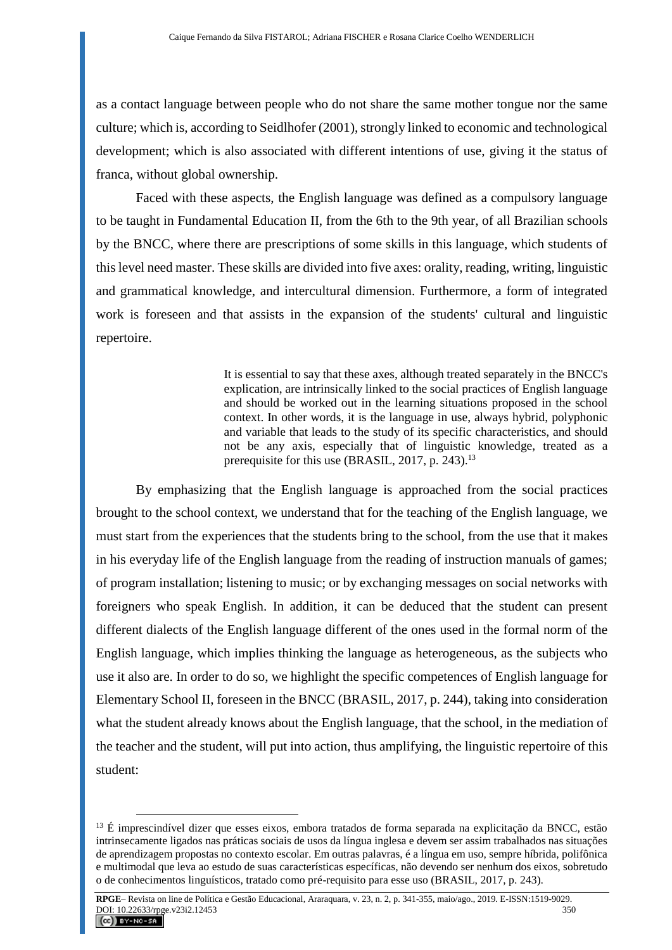as a contact language between people who do not share the same mother tongue nor the same culture; which is, according to Seidlhofer (2001), strongly linked to economic and technological development; which is also associated with different intentions of use, giving it the status of franca, without global ownership.

Faced with these aspects, the English language was defined as a compulsory language to be taught in Fundamental Education II, from the 6th to the 9th year, of all Brazilian schools by the BNCC, where there are prescriptions of some skills in this language, which students of this level need master. These skills are divided into five axes: orality, reading, writing, linguistic and grammatical knowledge, and intercultural dimension. Furthermore, a form of integrated work is foreseen and that assists in the expansion of the students' cultural and linguistic repertoire.

> It is essential to say that these axes, although treated separately in the BNCC's explication, are intrinsically linked to the social practices of English language and should be worked out in the learning situations proposed in the school context. In other words, it is the language in use, always hybrid, polyphonic and variable that leads to the study of its specific characteristics, and should not be any axis, especially that of linguistic knowledge, treated as a prerequisite for this use (BRASIL, 2017, p. 243).<sup>13</sup>

By emphasizing that the English language is approached from the social practices brought to the school context, we understand that for the teaching of the English language, we must start from the experiences that the students bring to the school, from the use that it makes in his everyday life of the English language from the reading of instruction manuals of games; of program installation; listening to music; or by exchanging messages on social networks with foreigners who speak English. In addition, it can be deduced that the student can present different dialects of the English language different of the ones used in the formal norm of the English language, which implies thinking the language as heterogeneous, as the subjects who use it also are. In order to do so, we highlight the specific competences of English language for Elementary School II, foreseen in the BNCC (BRASIL, 2017, p. 244), taking into consideration what the student already knows about the English language, that the school, in the mediation of the teacher and the student, will put into action, thus amplifying, the linguistic repertoire of this student:

 $13 \text{ E}$  imprescindível dizer que esses eixos, embora tratados de forma separada na explicitação da BNCC, estão intrinsecamente ligados nas práticas sociais de usos da língua inglesa e devem ser assim trabalhados nas situações de aprendizagem propostas no contexto escolar. Em outras palavras, é a língua em uso, sempre híbrida, polifônica e multimodal que leva ao estudo de suas características específicas, não devendo ser nenhum dos eixos, sobretudo o de conhecimentos linguísticos, tratado como pré-requisito para esse uso (BRASIL, 2017, p. 243).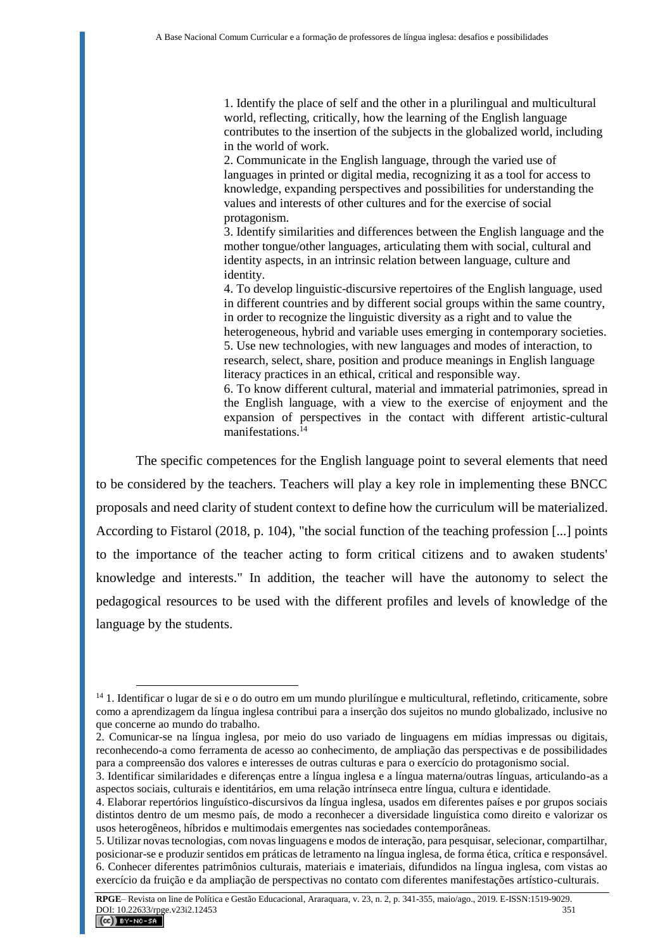1. Identify the place of self and the other in a plurilingual and multicultural world, reflecting, critically, how the learning of the English language contributes to the insertion of the subjects in the globalized world, including in the world of work.

2. Communicate in the English language, through the varied use of languages in printed or digital media, recognizing it as a tool for access to knowledge, expanding perspectives and possibilities for understanding the values and interests of other cultures and for the exercise of social protagonism.

3. Identify similarities and differences between the English language and the mother tongue/other languages, articulating them with social, cultural and identity aspects, in an intrinsic relation between language, culture and identity.

4. To develop linguistic-discursive repertoires of the English language, used in different countries and by different social groups within the same country, in order to recognize the linguistic diversity as a right and to value the heterogeneous, hybrid and variable uses emerging in contemporary societies. 5. Use new technologies, with new languages and modes of interaction, to research, select, share, position and produce meanings in English language literacy practices in an ethical, critical and responsible way.

6. To know different cultural, material and immaterial patrimonies, spread in the English language, with a view to the exercise of enjoyment and the expansion of perspectives in the contact with different artistic-cultural manifestations  $14$ 

The specific competences for the English language point to several elements that need to be considered by the teachers. Teachers will play a key role in implementing these BNCC proposals and need clarity of student context to define how the curriculum will be materialized. According to Fistarol (2018, p. 104), "the social function of the teaching profession [...] points to the importance of the teacher acting to form critical citizens and to awaken students' knowledge and interests." In addition, the teacher will have the autonomy to select the pedagogical resources to be used with the different profiles and levels of knowledge of the language by the students.

<sup>&</sup>lt;sup>14</sup> 1. Identificar o lugar de si e o do outro em um mundo plurilíngue e multicultural, refletindo, criticamente, sobre como a aprendizagem da língua inglesa contribui para a inserção dos sujeitos no mundo globalizado, inclusive no que concerne ao mundo do trabalho.

<sup>2.</sup> Comunicar-se na língua inglesa, por meio do uso variado de linguagens em mídias impressas ou digitais, reconhecendo-a como ferramenta de acesso ao conhecimento, de ampliação das perspectivas e de possibilidades para a compreensão dos valores e interesses de outras culturas e para o exercício do protagonismo social.

<sup>3.</sup> Identificar similaridades e diferenças entre a língua inglesa e a língua materna/outras línguas, articulando-as a aspectos sociais, culturais e identitários, em uma relação intrínseca entre língua, cultura e identidade.

<sup>4.</sup> Elaborar repertórios linguístico-discursivos da língua inglesa, usados em diferentes países e por grupos sociais distintos dentro de um mesmo país, de modo a reconhecer a diversidade linguística como direito e valorizar os usos heterogêneos, híbridos e multimodais emergentes nas sociedades contemporâneas.

<sup>5.</sup> Utilizar novas tecnologias, com novas linguagens e modos de interação, para pesquisar, selecionar, compartilhar, posicionar-se e produzir sentidos em práticas de letramento na língua inglesa, de forma ética, crítica e responsável. 6. Conhecer diferentes patrimônios culturais, materiais e imateriais, difundidos na língua inglesa, com vistas ao exercício da fruição e da ampliação de perspectivas no contato com diferentes manifestações artístico-culturais.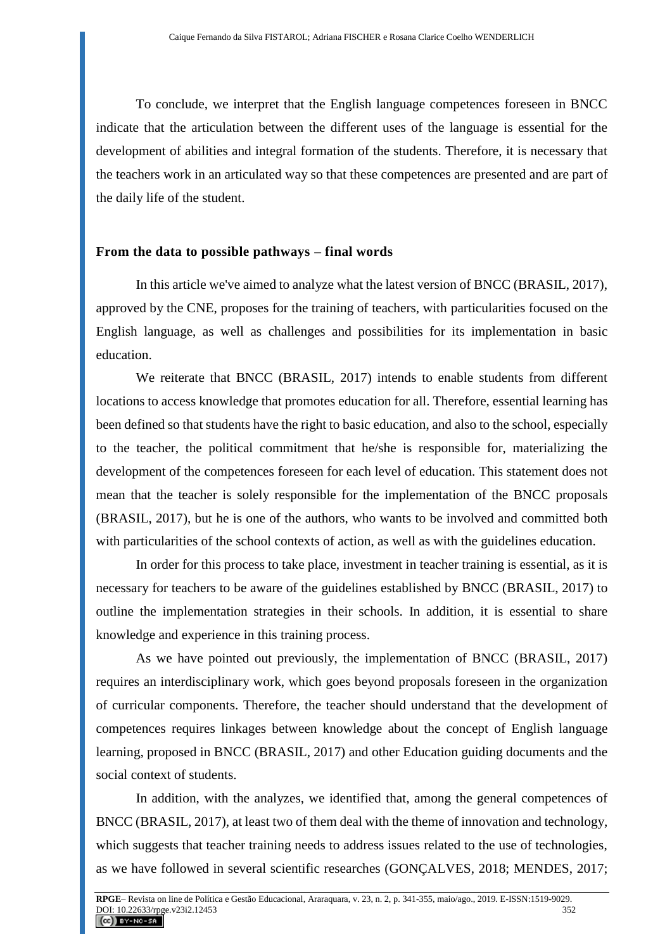To conclude, we interpret that the English language competences foreseen in BNCC indicate that the articulation between the different uses of the language is essential for the development of abilities and integral formation of the students. Therefore, it is necessary that the teachers work in an articulated way so that these competences are presented and are part of the daily life of the student.

### **From the data to possible pathways – final words**

In this article we've aimed to analyze what the latest version of BNCC (BRASIL, 2017), approved by the CNE, proposes for the training of teachers, with particularities focused on the English language, as well as challenges and possibilities for its implementation in basic education.

We reiterate that BNCC (BRASIL, 2017) intends to enable students from different locations to access knowledge that promotes education for all. Therefore, essential learning has been defined so that students have the right to basic education, and also to the school, especially to the teacher, the political commitment that he/she is responsible for, materializing the development of the competences foreseen for each level of education. This statement does not mean that the teacher is solely responsible for the implementation of the BNCC proposals (BRASIL, 2017), but he is one of the authors, who wants to be involved and committed both with particularities of the school contexts of action, as well as with the guidelines education.

In order for this process to take place, investment in teacher training is essential, as it is necessary for teachers to be aware of the guidelines established by BNCC (BRASIL, 2017) to outline the implementation strategies in their schools. In addition, it is essential to share knowledge and experience in this training process.

As we have pointed out previously, the implementation of BNCC (BRASIL, 2017) requires an interdisciplinary work, which goes beyond proposals foreseen in the organization of curricular components. Therefore, the teacher should understand that the development of competences requires linkages between knowledge about the concept of English language learning, proposed in BNCC (BRASIL, 2017) and other Education guiding documents and the social context of students.

In addition, with the analyzes, we identified that, among the general competences of BNCC (BRASIL, 2017), at least two of them deal with the theme of innovation and technology, which suggests that teacher training needs to address issues related to the use of technologies, as we have followed in several scientific researches (GONÇALVES, 2018; MENDES, 2017;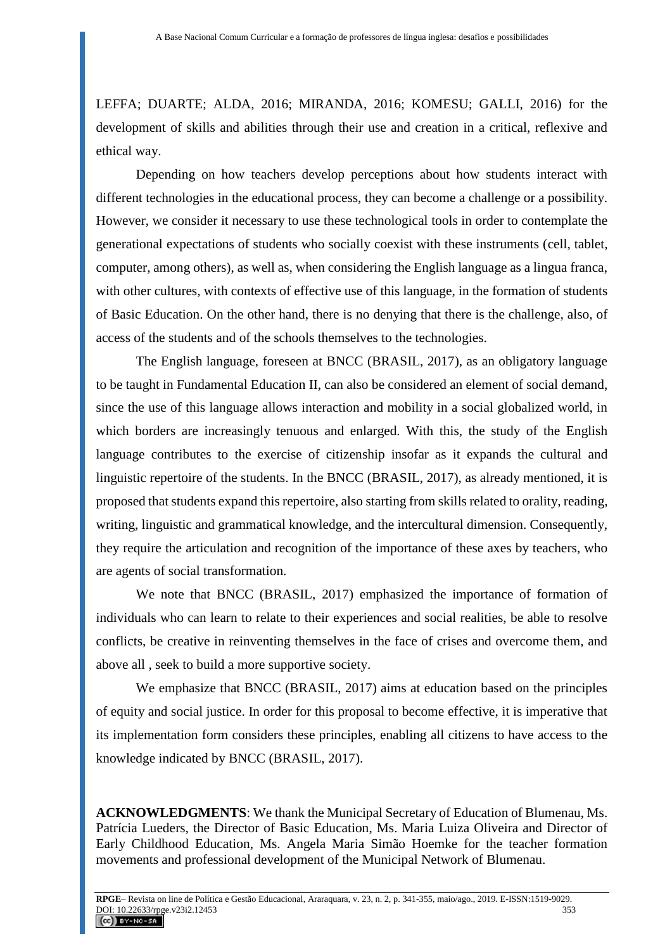LEFFA; DUARTE; ALDA, 2016; MIRANDA, 2016; KOMESU; GALLI, 2016) for the development of skills and abilities through their use and creation in a critical, reflexive and ethical way.

Depending on how teachers develop perceptions about how students interact with different technologies in the educational process, they can become a challenge or a possibility. However, we consider it necessary to use these technological tools in order to contemplate the generational expectations of students who socially coexist with these instruments (cell, tablet, computer, among others), as well as, when considering the English language as a lingua franca, with other cultures, with contexts of effective use of this language, in the formation of students of Basic Education. On the other hand, there is no denying that there is the challenge, also, of access of the students and of the schools themselves to the technologies.

The English language, foreseen at BNCC (BRASIL, 2017), as an obligatory language to be taught in Fundamental Education II, can also be considered an element of social demand, since the use of this language allows interaction and mobility in a social globalized world, in which borders are increasingly tenuous and enlarged. With this, the study of the English language contributes to the exercise of citizenship insofar as it expands the cultural and linguistic repertoire of the students. In the BNCC (BRASIL, 2017), as already mentioned, it is proposed that students expand this repertoire, also starting from skills related to orality, reading, writing, linguistic and grammatical knowledge, and the intercultural dimension. Consequently, they require the articulation and recognition of the importance of these axes by teachers, who are agents of social transformation.

We note that BNCC (BRASIL, 2017) emphasized the importance of formation of individuals who can learn to relate to their experiences and social realities, be able to resolve conflicts, be creative in reinventing themselves in the face of crises and overcome them, and above all , seek to build a more supportive society.

We emphasize that BNCC (BRASIL, 2017) aims at education based on the principles of equity and social justice. In order for this proposal to become effective, it is imperative that its implementation form considers these principles, enabling all citizens to have access to the knowledge indicated by BNCC (BRASIL, 2017).

**ACKNOWLEDGMENTS**: We thank the Municipal Secretary of Education of Blumenau, Ms. Patrícia Lueders, the Director of Basic Education, Ms. Maria Luiza Oliveira and Director of Early Childhood Education, Ms. Angela Maria Simão Hoemke for the teacher formation movements and professional development of the Municipal Network of Blumenau.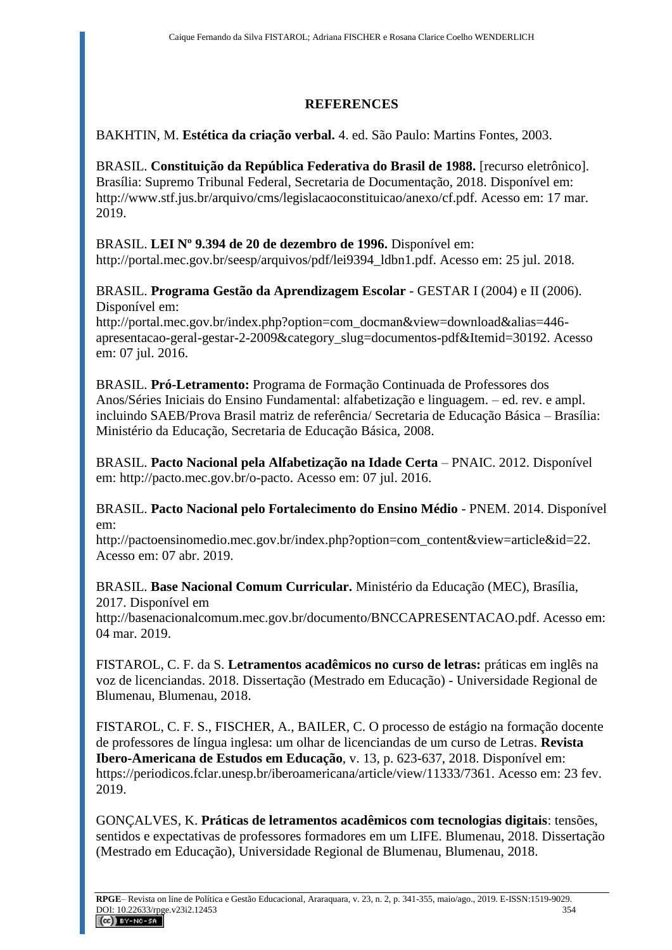# **REFERENCES**

# BAKHTIN, M. **Estética da criação verbal.** 4. ed. São Paulo: Martins Fontes, 2003.

BRASIL. **Constituição da República Federativa do Brasil de 1988.** [recurso eletrônico]. Brasília: Supremo Tribunal Federal, Secretaria de Documentação, 2018. Disponível em: http://www.stf.jus.br/arquivo/cms/legislacaoconstituicao/anexo/cf.pdf. Acesso em: 17 mar. 2019.

# BRASIL. **LEI Nº 9.394 de 20 de dezembro de 1996.** Disponível em:

http://portal.mec.gov.br/seesp/arquivos/pdf/lei9394\_ldbn1.pdf. Acesso em: 25 jul. 2018.

### BRASIL. **Programa Gestão da Aprendizagem Escolar** - GESTAR I (2004) e II (2006). Disponível em:

[http://portal.mec.gov.br/index.php?option=com\\_docman&view=download&alias=446](http://portal.mec.gov.br/index.php?option=com_docman&view=download&alias=446-apresentacao-geral-gestar-2-2009&category_slug=documentos-pdf&Itemid=30192) [apresentacao-geral-gestar-2-2009&category\\_slug=documentos-pdf&Itemid=30192.](http://portal.mec.gov.br/index.php?option=com_docman&view=download&alias=446-apresentacao-geral-gestar-2-2009&category_slug=documentos-pdf&Itemid=30192) Acesso em: 07 jul. 2016.

BRASIL. **Pró-Letramento:** Programa de Formação Continuada de Professores dos Anos/Séries Iniciais do Ensino Fundamental: alfabetização e linguagem. – ed. rev. e ampl. incluindo SAEB/Prova Brasil matriz de referência/ Secretaria de Educação Básica – Brasília: Ministério da Educação, Secretaria de Educação Básica, 2008.

BRASIL. **Pacto Nacional pela Alfabetização na Idade Certa** – PNAIC. 2012. Disponível em: [http://pacto.mec.gov.br/o-pacto.](http://pacto.mec.gov.br/o-pacto) Acesso em: 07 jul. 2016.

BRASIL. **Pacto Nacional pelo Fortalecimento do Ensino Médio** - PNEM. 2014. Disponível em:

http://pactoensinomedio.mec.gov.br/index.php?option=com\_content&view=article&id=22. Acesso em: 07 abr. 2019.

BRASIL. **Base Nacional Comum Curricular.** Ministério da Educação (MEC), Brasília, 2017. Disponível em

http://basenacionalcomum.mec.gov.br/documento/BNCCAPRESENTACAO.pdf. Acesso em: 04 mar. 2019.

FISTAROL, C. F. da S. **Letramentos acadêmicos no curso de letras:** práticas em inglês na voz de licenciandas. 2018. Dissertação (Mestrado em Educação) - Universidade Regional de Blumenau, Blumenau, 2018.

FISTAROL, C. F. S., FISCHER, A., BAILER, C. O processo de estágio na formação docente de professores de língua inglesa: um olhar de licenciandas de um curso de Letras. **Revista Ibero-Americana de Estudos em Educação**, v. 13, p. 623-637, 2018. Disponível em: https://periodicos.fclar.unesp.br/iberoamericana/article/view/11333/7361. Acesso em: 23 fev. 2019.

GONÇALVES, K. **Práticas de letramentos acadêmicos com tecnologias digitais**: tensões, sentidos e expectativas de professores formadores em um LIFE. Blumenau, 2018. Dissertação (Mestrado em Educação), Universidade Regional de Blumenau, Blumenau, 2018.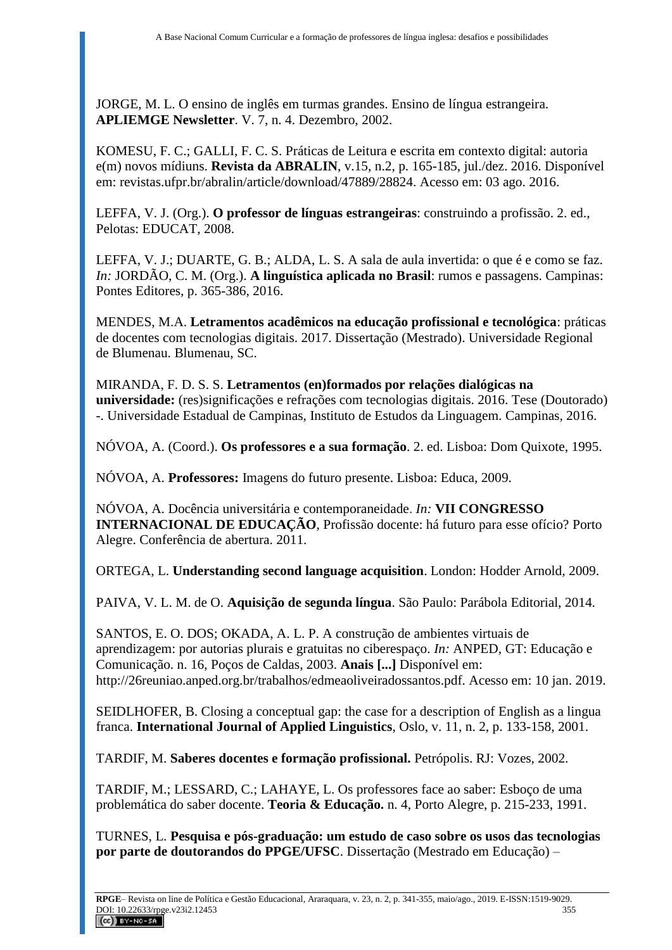JORGE, M. L. O ensino de inglês em turmas grandes. Ensino de língua estrangeira. **APLIEMGE Newsletter**. V. 7, n. 4. Dezembro, 2002.

KOMESU, F. C.; GALLI, F. C. S. Práticas de Leitura e escrita em contexto digital: autoria e(m) novos mídiuns. **Revista da ABRALIN**, v.15, n.2, p. 165-185, jul./dez. 2016. Disponível em: revistas.ufpr.br/abralin/article/download/47889/28824. Acesso em: 03 ago. 2016.

LEFFA, V. J. (Org.). **O professor de línguas estrangeiras**: construindo a profissão. 2. ed., Pelotas: EDUCAT, 2008.

LEFFA, V. J.; DUARTE, G. B.; ALDA, L. S. A sala de aula invertida: o que é e como se faz. *In:* JORDÃO, C. M. (Org.). **A linguística aplicada no Brasil**: rumos e passagens. Campinas: Pontes Editores, p. 365-386, 2016.

MENDES, M.A. **Letramentos acadêmicos na educação profissional e tecnológica**: práticas de docentes com tecnologias digitais. 2017. Dissertação (Mestrado). Universidade Regional de Blumenau. Blumenau, SC.

MIRANDA, F. D. S. S. **Letramentos (en)formados por relações dialógicas na universidade:** (res)significações e refrações com tecnologias digitais. 2016. Tese (Doutorado) -. Universidade Estadual de Campinas, Instituto de Estudos da Linguagem. Campinas, 2016.

NÓVOA, A. (Coord.). **Os professores e a sua formação**. 2. ed. Lisboa: Dom Quixote, 1995.

NÓVOA, A. **Professores:** Imagens do futuro presente. Lisboa: Educa, 2009.

NÓVOA, A. Docência universitária e contemporaneidade. *In:* **VII CONGRESSO INTERNACIONAL DE EDUCAÇÃO**, Profissão docente: há futuro para esse ofício? Porto Alegre. Conferência de abertura. 2011.

ORTEGA, L. **Understanding second language acquisition**. London: Hodder Arnold, 2009.

PAIVA, V. L. M. de O. **Aquisição de segunda língua**. São Paulo: Parábola Editorial, 2014.

SANTOS, E. O. DOS; OKADA, A. L. P. A construção de ambientes virtuais de aprendizagem: por autorias plurais e gratuitas no ciberespaço. *In:* ANPED, GT: Educação e Comunicação. n. 16, Poços de Caldas, 2003. **Anais [...]** Disponível em: http://26reuniao.anped.org.br/trabalhos/edmeaoliveiradossantos.pdf. Acesso em: 10 jan. 2019.

SEIDLHOFER, B. Closing a conceptual gap: the case for a description of English as a lingua franca. **International Journal of Applied Linguistics**, Oslo, v. 11, n. 2, p. 133-158, 2001.

TARDIF, M. **Saberes docentes e formação profissional.** Petrópolis. RJ: Vozes, 2002.

TARDIF, M.; LESSARD, C.; LAHAYE, L. Os professores face ao saber: Esboço de uma problemática do saber docente. **Teoria & Educação.** n. 4, Porto Alegre, p. 215-233, 1991.

TURNES, L. **Pesquisa e pós-graduação: um estudo de caso sobre os usos das tecnologias por parte de doutorandos do PPGE/UFSC**. Dissertação (Mestrado em Educação) –